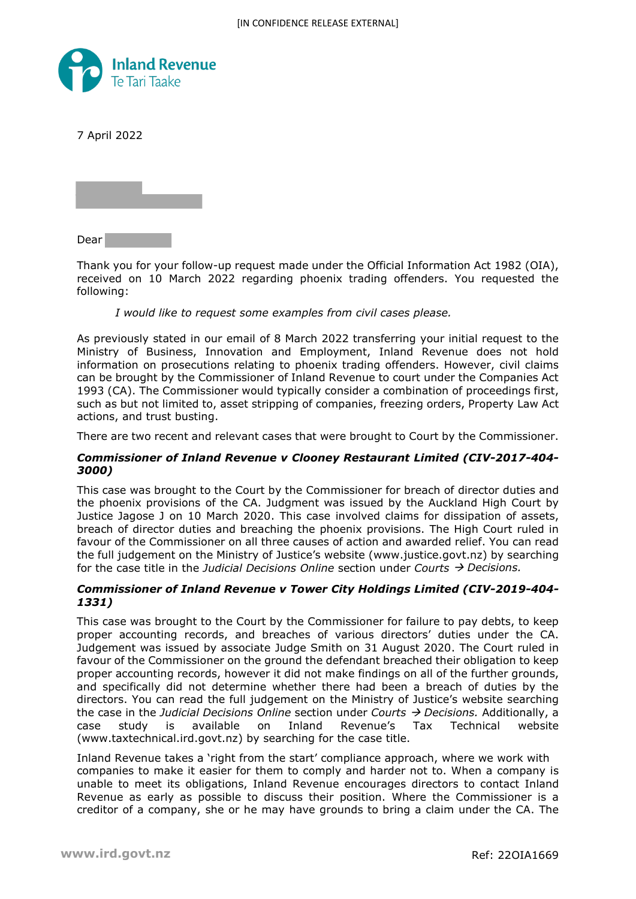

7 April 2022



Dear

Thank you for your follow-up request made under the Official Information Act 1982 (OIA), received on 10 March 2022 regarding phoenix trading offenders. You requested the following:

## *I would like to request some examples from civil cases please.*

As previously stated in our email of 8 March 2022 transferring your initial request to the Ministry of Business, Innovation and Employment, Inland Revenue does not hold information on prosecutions relating to phoenix trading offenders. However, civil claims can be brought by the Commissioner of Inland Revenue to court under the Companies Act 1993 (CA). The Commissioner would typically consider a combination of proceedings first, such as but not limited to, asset stripping of companies, freezing orders, Property Law Act actions, and trust busting.

There are two recent and relevant cases that were brought to Court by the Commissioner.

## *Commissioner of Inland Revenue v Clooney Restaurant Limited (CIV-2017-404- 3000)*

This case was brought to the Court by the Commissioner for breach of director duties and the phoenix provisions of the CA. Judgment was issued by the Auckland High Court by Justice Jagose J on 10 March 2020. This case involved claims for dissipation of assets, breach of director duties and breaching the phoenix provisions. The High Court ruled in favour of the Commissioner on all three causes of action and awarded relief. You can read the full judgement on the Ministry of Justice's website (www.justice.govt.nz) by searching for the case title in the *Judicial Decisions Online* section under *Courts Decisions.* 

## *Commissioner of Inland Revenue v Tower City Holdings Limited (CIV-2019-404- 1331)*

This case was brought to the Court by the Commissioner for failure to pay debts, to keep proper accounting records, and breaches of various directors' duties under the CA. Judgement was issued by associate Judge Smith on 31 August 2020. The Court ruled in favour of the Commissioner on the ground the defendant breached their obligation to keep proper accounting records, however it did not make findings on all of the further grounds, and specifically did not determine whether there had been a breach of duties by the directors. You can read the full judgement on the Ministry of Justice's website searching the case in the *Judicial Decisions Online* section under *Courts Decisions.* Additionally, a case study is available on Inland Revenue's Tax Technical website (www.taxtechnical.ird.govt.nz) by searching for the case title.

Inland Revenue takes a 'right from the start' compliance approach, where we work with companies to make it easier for them to comply and harder not to. When a company is unable to meet its obligations, Inland Revenue encourages directors to contact Inland Revenue as early as possible to discuss their position. Where the Commissioner is a creditor of a company, she or he may have grounds to bring a claim under the CA. The